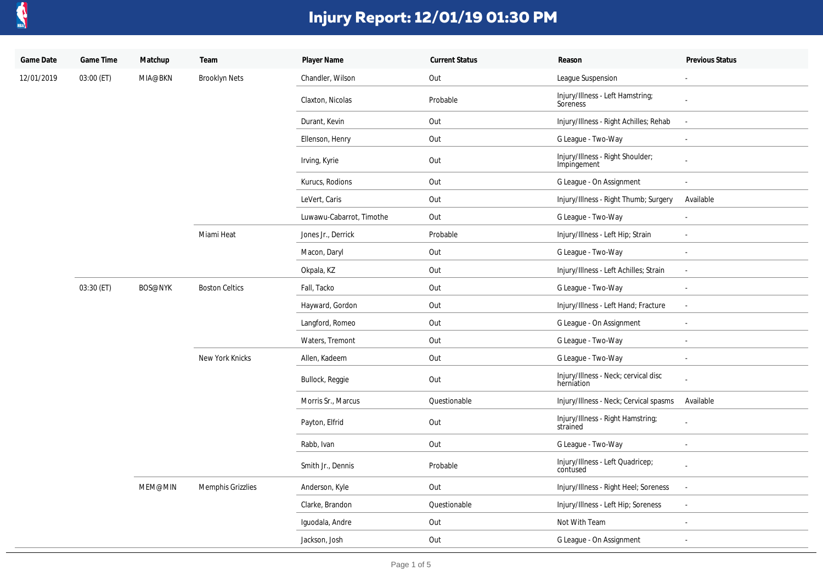

| Game Date  | Game Time  | Matchup        | Team                  | Player Name              | <b>Current Status</b> | Reason                                             | Previous Status          |
|------------|------------|----------------|-----------------------|--------------------------|-----------------------|----------------------------------------------------|--------------------------|
| 12/01/2019 | 03:00 (ET) | MIA@BKN        | <b>Brooklyn Nets</b>  | Chandler, Wilson         | Out                   | League Suspension                                  | $\blacksquare$           |
|            |            |                |                       | Claxton, Nicolas         | Probable              | Injury/Illness - Left Hamstring;<br>Soreness       |                          |
|            |            |                |                       | Durant, Kevin            | Out                   | Injury/Illness - Right Achilles; Rehab             |                          |
|            |            |                |                       | Ellenson, Henry          | Out                   | G League - Two-Way                                 |                          |
|            |            |                |                       | Irving, Kyrie            | Out                   | Injury/Illness - Right Shoulder;<br>Impingement    |                          |
|            |            |                |                       | Kurucs, Rodions          | Out                   | G League - On Assignment                           |                          |
|            |            |                |                       | LeVert, Caris            | Out                   | Injury/Illness - Right Thumb; Surgery              | Available                |
|            |            |                |                       | Luwawu-Cabarrot, Timothe | Out                   | G League - Two-Way                                 |                          |
|            |            |                | Miami Heat            | Jones Jr., Derrick       | Probable              | Injury/Illness - Left Hip; Strain                  | $\sim$                   |
|            |            |                |                       | Macon, Daryl             | Out                   | G League - Two-Way                                 | $\sim$                   |
|            |            |                |                       | Okpala, KZ               | Out                   | Injury/Illness - Left Achilles; Strain             |                          |
|            | 03:30 (ET) | <b>BOS@NYK</b> | <b>Boston Celtics</b> | Fall, Tacko              | Out                   | G League - Two-Way                                 |                          |
|            |            |                |                       | Hayward, Gordon          | Out                   | Injury/Illness - Left Hand; Fracture               | $\sim$                   |
|            |            |                |                       | Langford, Romeo          | Out                   | G League - On Assignment                           |                          |
|            |            |                |                       | Waters, Tremont          | Out                   | G League - Two-Way                                 |                          |
|            |            |                | New York Knicks       | Allen, Kadeem            | Out                   | G League - Two-Way                                 | $\overline{\phantom{a}}$ |
|            |            |                |                       | Bullock, Reggie          | Out                   | Injury/Illness - Neck; cervical disc<br>herniation |                          |
|            |            |                |                       | Morris Sr., Marcus       | Questionable          | Injury/Illness - Neck; Cervical spasms             | Available                |
|            |            |                |                       | Payton, Elfrid           | Out                   | Injury/Illness - Right Hamstring;<br>strained      |                          |
|            |            |                |                       | Rabb, Ivan               | Out                   | G League - Two-Way                                 |                          |
|            |            |                |                       | Smith Jr., Dennis        | Probable              | Injury/Illness - Left Quadricep;<br>contused       |                          |
|            |            | MEM@MIN        | Memphis Grizzlies     | Anderson, Kyle           | Out                   | Injury/Illness - Right Heel; Soreness              | $\sim$                   |
|            |            |                |                       | Clarke, Brandon          | Questionable          | Injury/Illness - Left Hip; Soreness                |                          |
|            |            |                |                       | Iquodala, Andre          | Out                   | Not With Team                                      |                          |
|            |            |                |                       | Jackson, Josh            | Out                   | G League - On Assignment                           | $\sim$                   |
|            |            |                |                       |                          |                       |                                                    |                          |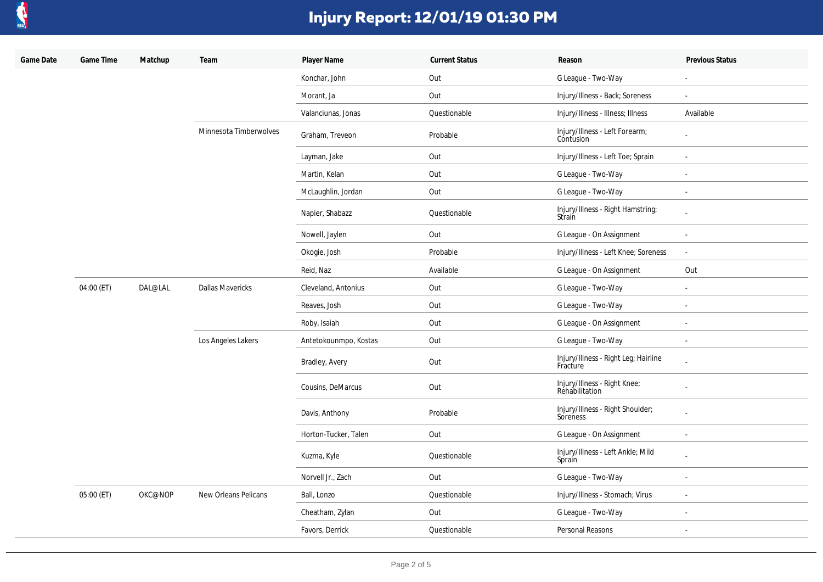

| Game Date | Game Time  | Matchup | Team                    | Player Name           | <b>Current Status</b> | Reason                                           | Previous Status |
|-----------|------------|---------|-------------------------|-----------------------|-----------------------|--------------------------------------------------|-----------------|
|           |            |         |                         | Konchar, John         | Out                   | G League - Two-Way                               |                 |
|           |            |         |                         | Morant, Ja            | Out                   | Injury/Illness - Back; Soreness                  | $\mathbf{r}$    |
|           |            |         |                         | Valanciunas, Jonas    | Questionable          | Injury/Illness - Illness; Illness                | Available       |
|           |            |         | Minnesota Timberwolves  | Graham, Treveon       | Probable              | Injury/Illness - Left Forearm;<br>Contusion      |                 |
|           |            |         |                         | Layman, Jake          | Out                   | Injury/Illness - Left Toe; Sprain                | $\sim$          |
|           |            |         |                         | Martin, Kelan         | Out                   | G League - Two-Way                               | $\blacksquare$  |
|           |            |         |                         | McLaughlin, Jordan    | Out                   | G League - Two-Way                               | $\sim$          |
|           |            |         |                         | Napier, Shabazz       | Questionable          | Injury/Illness - Right Hamstring;<br>Strain      |                 |
|           |            |         |                         | Nowell, Jaylen        | Out                   | G League - On Assignment                         | $\sim$          |
|           |            |         |                         | Okogie, Josh          | Probable              | Injury/Illness - Left Knee; Soreness             | $\blacksquare$  |
|           |            |         |                         | Reid, Naz             | Available             | G League - On Assignment                         | Out             |
|           | 04:00 (ET) | DAL@LAL | <b>Dallas Mavericks</b> | Cleveland, Antonius   | Out                   | G League - Two-Way                               | $\omega$        |
|           |            |         |                         | Reaves, Josh          | Out                   | G League - Two-Way                               | $\blacksquare$  |
|           |            |         |                         | Roby, Isaiah          | Out                   | G League - On Assignment                         | $\omega$        |
|           |            |         | Los Angeles Lakers      | Antetokounmpo, Kostas | Out                   | G League - Two-Way                               | $\sim$          |
|           |            |         |                         | Bradley, Avery        | Out                   | Injury/Illness - Right Leg; Hairline<br>Fracture |                 |
|           |            |         |                         | Cousins, DeMarcus     | Out                   | Injury/Illness - Right Knee;<br>Rehabilitation   |                 |
|           |            |         |                         | Davis, Anthony        | Probable              | Injury/Illness - Right Shoulder;<br>Soreness     |                 |
|           |            |         |                         | Horton-Tucker, Talen  | Out                   | G League - On Assignment                         | $\sim$          |
|           |            |         |                         | Kuzma, Kyle           | Questionable          | Injury/Illness - Left Ankle; Mild<br>Sprain      |                 |
|           |            |         |                         | Norvell Jr., Zach     | Out                   | G League - Two-Way                               | $\sim$          |
|           | 05:00 (ET) | OKC@NOP | New Orleans Pelicans    | Ball, Lonzo           | Questionable          | Injury/Illness - Stomach; Virus                  | $\sim$          |
|           |            |         |                         | Cheatham, Zylan       | Out                   | G League - Two-Way                               |                 |
|           |            |         |                         | Favors, Derrick       | Questionable          | Personal Reasons                                 | $\blacksquare$  |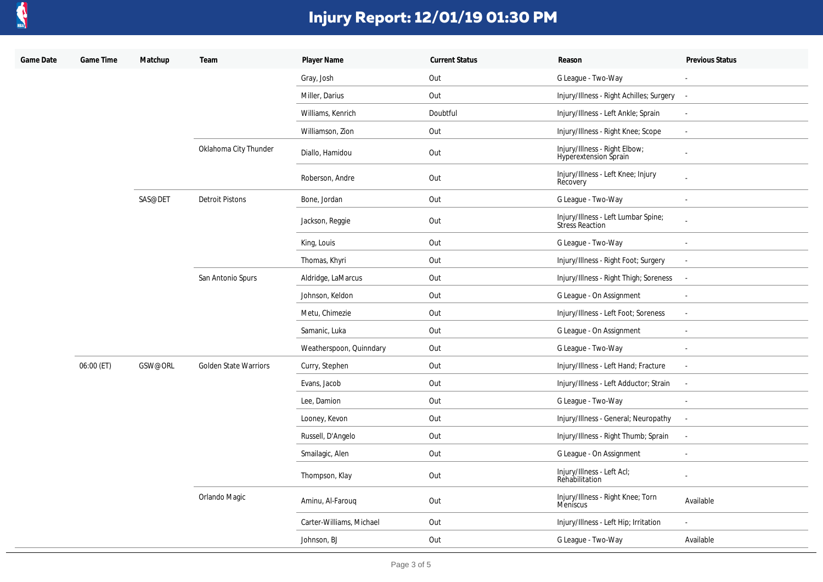

| Game Date | Game Time  | Matchup | Team                         | Player Name              | <b>Current Status</b> | Reason                                                 | Previous Status             |
|-----------|------------|---------|------------------------------|--------------------------|-----------------------|--------------------------------------------------------|-----------------------------|
|           |            |         |                              | Gray, Josh               | Out                   | G League - Two-Way                                     |                             |
|           |            |         |                              | Miller, Darius           | Out                   | Injury/Illness - Right Achilles; Surgery               | $\sim$                      |
|           |            |         |                              | Williams, Kenrich        | Doubtful              | Injury/Illness - Left Ankle; Sprain                    | $\blacksquare$              |
|           |            |         |                              | Williamson, Zion         | Out                   | Injury/Illness - Right Knee; Scope                     | $\sim$                      |
|           |            |         | Oklahoma City Thunder        | Diallo, Hamidou          | Out                   | Injury/Illness - Right Elbow;<br>Hyperextension Sprain | $\blacksquare$              |
|           |            |         |                              | Roberson, Andre          | Out                   | Injury/Illness - Left Knee; Injury<br>Recovery         | $\overline{a}$              |
|           |            | SAS@DET | <b>Detroit Pistons</b>       | Bone, Jordan             | Out                   | G League - Two-Way                                     | $\sim$                      |
|           |            |         |                              | Jackson, Reggie          | Out                   | Injury/Illness - Left Lumbar Spine;<br>Stress Reaction |                             |
|           |            |         |                              | King, Louis              | Out                   | G League - Two-Way                                     | $\overline{\phantom{a}}$    |
|           |            |         |                              | Thomas, Khyri            | Out                   | Injury/Illness - Right Foot; Surgery                   | $\mathcal{L}_{\mathcal{A}}$ |
|           |            |         | San Antonio Spurs            | Aldridge, LaMarcus       | Out                   | Injury/Illness - Right Thigh; Soreness                 | $\overline{\phantom{a}}$    |
|           |            |         |                              | Johnson, Keldon          | Out                   | G League - On Assignment                               | $\omega$                    |
|           |            |         |                              | Metu, Chimezie           | Out                   | Injury/Illness - Left Foot; Soreness                   | $\blacksquare$              |
|           |            |         |                              | Samanic, Luka            | Out                   | G League - On Assignment                               |                             |
|           |            |         |                              | Weatherspoon, Quinndary  | Out                   | G League - Two-Way                                     | $\sim$                      |
|           | 06:00 (ET) | GSW@ORL | <b>Golden State Warriors</b> | Curry, Stephen           | Out                   | Injury/Illness - Left Hand; Fracture                   | $\sim$                      |
|           |            |         |                              | Evans, Jacob             | Out                   | Injury/Illness - Left Adductor; Strain                 | $\mathbb{Z}^2$              |
|           |            |         |                              | Lee, Damion              | Out                   | G League - Two-Way                                     | $\sim$                      |
|           |            |         |                              | Looney, Kevon            | Out                   | Injury/Illness - General; Neuropathy                   | $\sim$                      |
|           |            |         |                              | Russell, D'Angelo        | Out                   | Injury/Illness - Right Thumb; Sprain                   | $\blacksquare$              |
|           |            |         |                              | Smailagic, Alen          | Out                   | G League - On Assignment                               | $\sim$                      |
|           |            |         |                              | Thompson, Klay           | Out                   | Injury/Illness - Left Acl;<br>Rehabilitation           | $\omega$                    |
|           |            |         | Orlando Magic                | Aminu, Al-Farouq         | Out                   | Injury/Illness - Right Knee; Torn<br>Meniscus          | Available                   |
|           |            |         |                              | Carter-Williams, Michael | Out                   | Injury/Illness - Left Hip; Irritation                  | $\blacksquare$              |
|           |            |         |                              | Johnson, BJ              | Out                   | G League - Two-Way                                     | Available                   |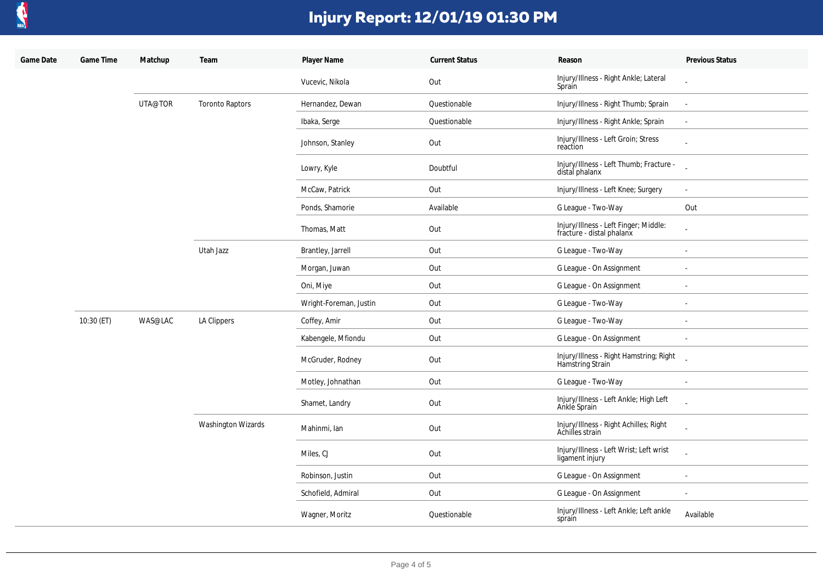

| Game Date | Game Time  | Matchup | Team                   | Player Name            | <b>Current Status</b> | Reason                                                             | Previous Status          |
|-----------|------------|---------|------------------------|------------------------|-----------------------|--------------------------------------------------------------------|--------------------------|
|           |            |         |                        | Vucevic, Nikola        | Out                   | Injury/Illness - Right Ankle; Lateral<br>Sprain                    |                          |
|           |            | UTA@TOR | <b>Toronto Raptors</b> | Hernandez, Dewan       | Questionable          | Injury/Illness - Right Thumb; Sprain                               | $\Delta$                 |
|           |            |         |                        | Ibaka, Serge           | Questionable          | Injury/Illness - Right Ankle; Sprain                               | $\sim$                   |
|           |            |         |                        | Johnson, Stanley       | Out                   | Injury/Illness - Left Groin; Stress<br>reaction                    |                          |
|           |            |         |                        | Lowry, Kyle            | Doubtful              | Injury/Illness - Left Thumb; Fracture -<br>distal phalanx          |                          |
|           |            |         |                        | McCaw, Patrick         | Out                   | Injury/Illness - Left Knee; Surgery                                | $\overline{\phantom{a}}$ |
|           |            |         |                        | Ponds, Shamorie        | Available             | G League - Two-Way                                                 | Out                      |
|           |            |         |                        | Thomas, Matt           | Out                   | Injury/Illness - Left Finger; Middle:<br>fracture - distal phalanx |                          |
|           |            |         | Utah Jazz              | Brantley, Jarrell      | Out                   | G League - Two-Way                                                 |                          |
|           |            |         |                        | Morgan, Juwan          | Out                   | G League - On Assignment                                           | $\sim$                   |
|           |            |         |                        | Oni, Miye              | Out                   | G League - On Assignment                                           | $\sim$                   |
|           |            |         |                        | Wright-Foreman, Justin | Out                   | G League - Two-Way                                                 | $\overline{\phantom{a}}$ |
|           | 10:30 (ET) | WAS@LAC | LA Clippers            | Coffey, Amir           | Out                   | G League - Two-Way                                                 | $\sim$                   |
|           |            |         |                        | Kabengele, Mfiondu     | Out                   | G League - On Assignment                                           |                          |
|           |            |         |                        | McGruder, Rodney       | Out                   | Injury/Illness - Right Hamstring; Right<br>Hamstring Strain        |                          |
|           |            |         |                        | Motley, Johnathan      | Out                   | G League - Two-Way                                                 | $\sim$                   |
|           |            |         | Washington Wizards     | Shamet, Landry         | Out                   | Injury/Illness - Left Ankle; High Left<br>Ankle Sprain             |                          |
|           |            |         |                        | Mahinmi, Ian           | Out                   | Injury/Illness - Right Achilles; Right<br>Achilles strain          |                          |
|           |            |         |                        | Miles, CJ              | Out                   | Injury/Illness - Left Wrist; Left wrist<br>ligament injury         |                          |
|           |            |         |                        | Robinson, Justin       | Out                   | G League - On Assignment                                           | $\sim$                   |
|           |            |         |                        | Schofield, Admiral     | Out                   | G League - On Assignment                                           |                          |
|           |            |         |                        | Wagner, Moritz         | Questionable          | Injury/Illness - Left Ankle; Left ankle<br>sprain                  | Available                |